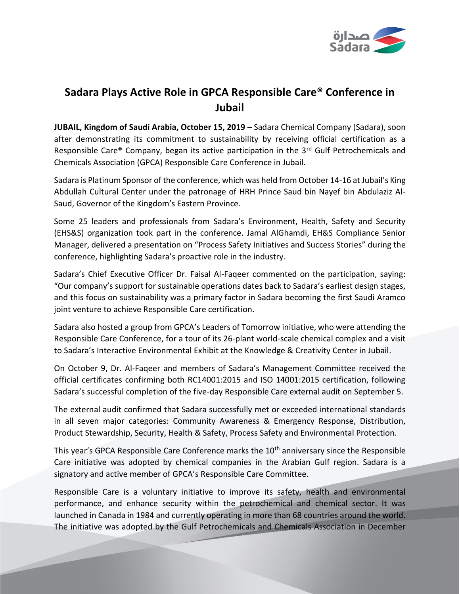

# **Sadara Plays Active Role in GPCA Responsible Care® Conference in Jubail**

**JUBAIL, Kingdom of Saudi Arabia, October 15, 2019 –** Sadara Chemical Company (Sadara), soon after demonstrating its commitment to sustainability by receiving official certification as a Responsible Care® Company, began its active participation in the 3<sup>rd</sup> Gulf Petrochemicals and Chemicals Association (GPCA) Responsible Care Conference in Jubail.

Sadara is Platinum Sponsor of the conference, which was held from October 14-16 at Jubail's King Abdullah Cultural Center under the patronage of HRH Prince Saud bin Nayef bin Abdulaziz Al-Saud, Governor of the Kingdom's Eastern Province.

Some 25 leaders and professionals from Sadara's Environment, Health, Safety and Security (EHS&S) organization took part in the conference. Jamal AlGhamdi, EH&S Compliance Senior Manager, delivered a presentation on "Process Safety Initiatives and Success Stories" during the conference, highlighting Sadara's proactive role in the industry.

Sadara's Chief Executive Officer Dr. Faisal Al-Faqeer commented on the participation, saying: "Our company's support for sustainable operations dates back to Sadara's earliest design stages, and this focus on sustainability was a primary factor in Sadara becoming the first Saudi Aramco joint venture to achieve Responsible Care certification.

Sadara also hosted a group from GPCA's Leaders of Tomorrow initiative, who were attending the Responsible Care Conference, for a tour of its 26-plant world-scale chemical complex and a visit to Sadara's Interactive Environmental Exhibit at the Knowledge & Creativity Center in Jubail.

On October 9, Dr. Al-Faqeer and members of Sadara's Management Committee received the official certificates confirming both RC14001:2015 and ISO 14001:2015 certification, following Sadara's successful completion of the five-day Responsible Care external audit on September 5.

The external audit confirmed that Sadara successfully met or exceeded international standards in all seven major categories: Community Awareness & Emergency Response, Distribution, Product Stewardship, Security, Health & Safety, Process Safety and Environmental Protection.

This year's GPCA Responsible Care Conference marks the 10<sup>th</sup> anniversary since the Responsible Care initiative was adopted by chemical companies in the Arabian Gulf region. Sadara is a signatory and active member of GPCA's Responsible Care Committee.

Responsible Care is a voluntary initiative to improve its safety, health and environmental performance, and enhance security within the petrochemical and chemical sector. It was launched in Canada in 1984 and currently operating in more than 68 countries around the world. The initiative was adopted by the Gulf Petrochemicals and Chemicals Association in December

Sadara - General Use Information